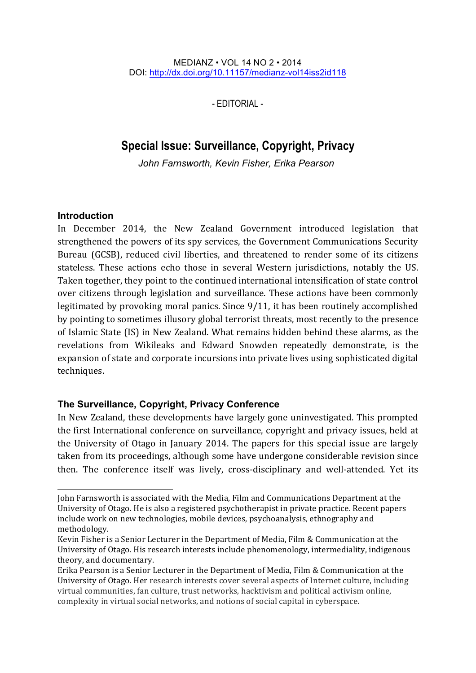MEDIANZ • VOL 14 NO 2 • 2014 DOI: http://dx.doi.org/10.11157/medianz-vol14iss2id118

- EDITORIAL -

# **Special Issue: Surveillance, Copyright, Privacy**

John Farnsworth, Kevin Fisher, Erika Pearson

# **Introduction**

 $\overline{a}$ 

In December 2014, the New Zealand Government introduced legislation that strengthened the powers of its spy services, the Government Communications Security Bureau (GCSB), reduced civil liberties, and threatened to render some of its citizens stateless. These actions echo those in several Western jurisdictions, notably the US. Taken together, they point to the continued international intensification of state control over citizens through legislation and surveillance. These actions have been commonly legitimated by provoking moral panics. Since  $9/11$ , it has been routinely accomplished by pointing to sometimes illusory global terrorist threats, most recently to the presence of Islamic State (IS) in New Zealand. What remains hidden behind these alarms, as the revelations from Wikileaks and Edward Snowden repeatedly demonstrate, is the expansion of state and corporate incursions into private lives using sophisticated digital techniques.

# **The Surveillance, Copyright, Privacy Conference**

In New Zealand, these developments have largely gone uninvestigated. This prompted the first International conference on surveillance, copyright and privacy issues, held at the University of Otago in January 2014. The papers for this special issue are largely taken from its proceedings, although some have undergone considerable revision since then. The conference itself was lively, cross-disciplinary and well-attended. Yet its

John Farnsworth is associated with the Media, Film and Communications Department at the University of Otago. He is also a registered psychotherapist in private practice. Recent papers include work on new technologies, mobile devices, psychoanalysis, ethnography and methodology.

Kevin Fisher is a Senior Lecturer in the Department of Media, Film & Communication at the University of Otago. His research interests include phenomenology, intermediality, indigenous theory, and documentary.

Erika Pearson is a Senior Lecturer in the Department of Media, Film & Communication at the University of Otago. Her research interests cover several aspects of Internet culture, including virtual communities, fan culture, trust networks, hacktivism and political activism online, complexity in virtual social networks, and notions of social capital in cyberspace.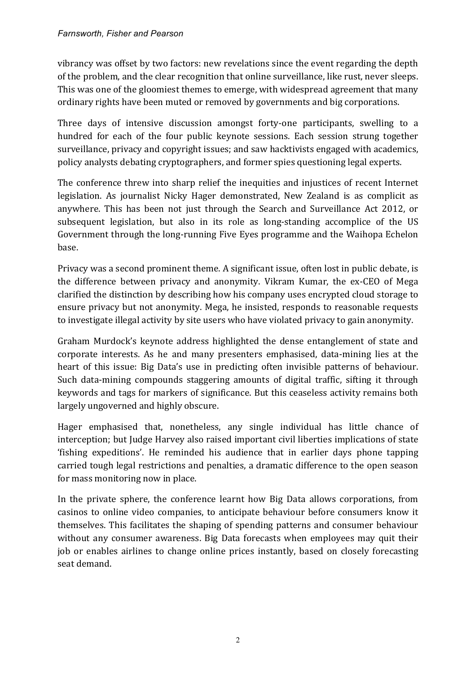vibrancy was offset by two factors: new revelations since the event regarding the depth of the problem, and the clear recognition that online surveillance, like rust, never sleeps. This was one of the gloomiest themes to emerge, with widespread agreement that many ordinary rights have been muted or removed by governments and big corporations.

Three days of intensive discussion amongst forty-one participants, swelling to a hundred for each of the four public keynote sessions. Each session strung together surveillance, privacy and copyright issues; and saw hacktivists engaged with academics, policy analysts debating cryptographers, and former spies questioning legal experts.

The conference threw into sharp relief the inequities and injustices of recent Internet legislation. As journalist Nicky Hager demonstrated, New Zealand is as complicit as anywhere. This has been not just through the Search and Surveillance Act 2012, or subsequent legislation, but also in its role as long-standing accomplice of the US Government through the long-running Five Eyes programme and the Waihopa Echelon base. 

Privacy was a second prominent theme. A significant issue, often lost in public debate, is the difference between privacy and anonymity. Vikram Kumar, the ex-CEO of Mega clarified the distinction by describing how his company uses encrypted cloud storage to ensure privacy but not anonymity. Mega, he insisted, responds to reasonable requests to investigate illegal activity by site users who have violated privacy to gain anonymity.

Graham Murdock's keynote address highlighted the dense entanglement of state and corporate interests. As he and many presenters emphasised, data-mining lies at the heart of this issue: Big Data's use in predicting often invisible patterns of behaviour. Such data-mining compounds staggering amounts of digital traffic, sifting it through keywords and tags for markers of significance. But this ceaseless activity remains both largely ungoverned and highly obscure.

Hager emphasised that, nonetheless, any single individual has little chance of interception; but Judge Harvey also raised important civil liberties implications of state 'fishing expeditions'. He reminded his audience that in earlier days phone tapping carried tough legal restrictions and penalties, a dramatic difference to the open season for mass monitoring now in place.

In the private sphere, the conference learnt how Big Data allows corporations, from casinos to online video companies, to anticipate behaviour before consumers know it themselves. This facilitates the shaping of spending patterns and consumer behaviour without any consumer awareness. Big Data forecasts when employees may quit their job or enables airlines to change online prices instantly, based on closely forecasting seat demand.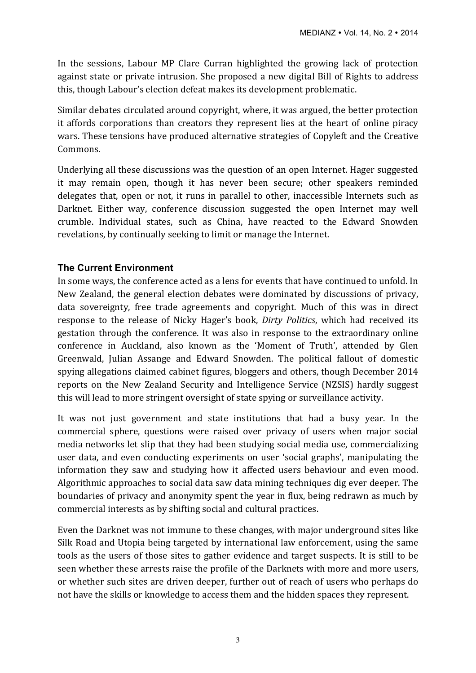In the sessions, Labour MP Clare Curran highlighted the growing lack of protection against state or private intrusion. She proposed a new digital Bill of Rights to address this, though Labour's election defeat makes its development problematic.

Similar debates circulated around copyright, where, it was argued, the better protection it affords corporations than creators they represent lies at the heart of online piracy wars. These tensions have produced alternative strategies of Copyleft and the Creative Commons.

Underlying all these discussions was the question of an open Internet. Hager suggested it may remain open, though it has never been secure; other speakers reminded delegates that, open or not, it runs in parallel to other, inaccessible Internets such as Darknet. Either way, conference discussion suggested the open Internet may well crumble. Individual states, such as China, have reacted to the Edward Snowden revelations, by continually seeking to limit or manage the Internet.

### **The Current Environment**

In some ways, the conference acted as a lens for events that have continued to unfold. In New Zealand, the general election debates were dominated by discussions of privacy, data sovereignty, free trade agreements and copyright. Much of this was in direct response to the release of Nicky Hager's book, *Dirty Politics*, which had received its gestation through the conference. It was also in response to the extraordinary online conference in Auckland, also known as the 'Moment of Truth', attended by Glen Greenwald, Julian Assange and Edward Snowden. The political fallout of domestic spying allegations claimed cabinet figures, bloggers and others, though December 2014 reports on the New Zealand Security and Intelligence Service (NZSIS) hardly suggest this will lead to more stringent oversight of state spying or surveillance activity.

It was not just government and state institutions that had a busy year. In the commercial sphere, questions were raised over privacy of users when major social media networks let slip that they had been studying social media use, commercializing user data, and even conducting experiments on user 'social graphs', manipulating the information they saw and studying how it affected users behaviour and even mood. Algorithmic approaches to social data saw data mining techniques dig ever deeper. The boundaries of privacy and anonymity spent the year in flux, being redrawn as much by commercial interests as by shifting social and cultural practices.

Even the Darknet was not immune to these changes, with major underground sites like Silk Road and Utopia being targeted by international law enforcement, using the same tools as the users of those sites to gather evidence and target suspects. It is still to be seen whether these arrests raise the profile of the Darknets with more and more users, or whether such sites are driven deeper, further out of reach of users who perhaps do not have the skills or knowledge to access them and the hidden spaces they represent.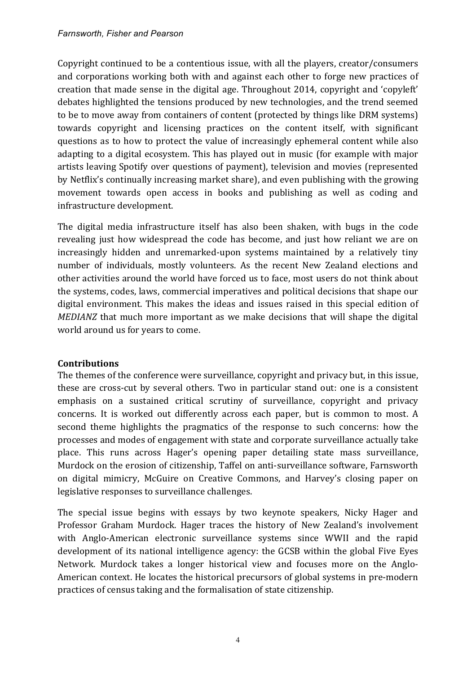#### *Farnsworth, Fisher and Pearson*

Copyright continued to be a contentious issue, with all the players, creator/consumers and corporations working both with and against each other to forge new practices of creation that made sense in the digital age. Throughout 2014, copyright and 'copyleft' debates highlighted the tensions produced by new technologies, and the trend seemed to be to move away from containers of content (protected by things like DRM systems) towards copyright and licensing practices on the content itself, with significant questions as to how to protect the value of increasingly ephemeral content while also adapting to a digital ecosystem. This has played out in music (for example with major artists leaving Spotify over questions of payment), television and movies (represented by Netflix's continually increasing market share), and even publishing with the growing movement towards open access in books and publishing as well as coding and infrastructure development.

The digital media infrastructure itself has also been shaken, with bugs in the code revealing just how widespread the code has become, and just how reliant we are on increasingly hidden and unremarked-upon systems maintained by a relatively tiny number of individuals, mostly volunteers. As the recent New Zealand elections and other activities around the world have forced us to face, most users do not think about the systems, codes, laws, commercial imperatives and political decisions that shape our digital environment. This makes the ideas and issues raised in this special edition of *MEDIANZ* that much more important as we make decisions that will shape the digital world around us for years to come.

#### **Contributions**

The themes of the conference were surveillance, copyright and privacy but, in this issue, these are cross-cut by several others. Two in particular stand out: one is a consistent emphasis on a sustained critical scrutiny of surveillance, copyright and privacy concerns. It is worked out differently across each paper, but is common to most. A second theme highlights the pragmatics of the response to such concerns: how the processes and modes of engagement with state and corporate surveillance actually take place. This runs across Hager's opening paper detailing state mass surveillance, Murdock on the erosion of citizenship, Taffel on anti-surveillance software, Farnsworth on digital mimicry, McGuire on Creative Commons, and Harvey's closing paper on legislative responses to surveillance challenges.

The special issue begins with essays by two keynote speakers, Nicky Hager and Professor Graham Murdock. Hager traces the history of New Zealand's involvement with Anglo-American electronic surveillance systems since WWII and the rapid development of its national intelligence agency: the GCSB within the global Five Eyes Network. Murdock takes a longer historical view and focuses more on the Anglo-American context. He locates the historical precursors of global systems in pre-modern practices of census taking and the formalisation of state citizenship.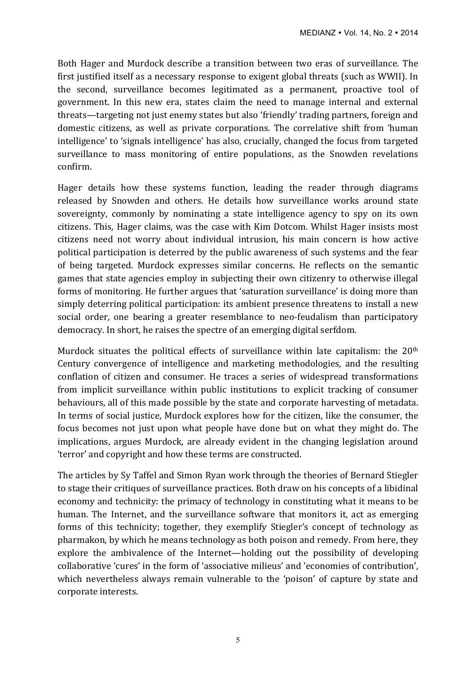Both Hager and Murdock describe a transition between two eras of surveillance. The first justified itself as a necessary response to exigent global threats (such as WWII). In the second, surveillance becomes legitimated as a permanent, proactive tool of government. In this new era, states claim the need to manage internal and external threats—targeting not just enemy states but also 'friendly' trading partners, foreign and domestic citizens, as well as private corporations. The correlative shift from 'human intelligence' to 'signals intelligence' has also, crucially, changed the focus from targeted surveillance to mass monitoring of entire populations, as the Snowden revelations confirm. 

Hager details how these systems function, leading the reader through diagrams released by Snowden and others. He details how surveillance works around state sovereignty, commonly by nominating a state intelligence agency to spy on its own citizens. This, Hager claims, was the case with Kim Dotcom. Whilst Hager insists most citizens need not worry about individual intrusion, his main concern is how active political participation is deterred by the public awareness of such systems and the fear of being targeted. Murdock expresses similar concerns. He reflects on the semantic games that state agencies employ in subjecting their own citizenry to otherwise illegal forms of monitoring. He further argues that 'saturation surveillance' is doing more than simply deterring political participation: its ambient presence threatens to install a new social order, one bearing a greater resemblance to neo-feudalism than participatory democracy. In short, he raises the spectre of an emerging digital serfdom.

Murdock situates the political effects of surveillance within late capitalism: the  $20<sup>th</sup>$ Century convergence of intelligence and marketing methodologies, and the resulting conflation of citizen and consumer. He traces a series of widespread transformations from implicit surveillance within public institutions to explicit tracking of consumer behaviours, all of this made possible by the state and corporate harvesting of metadata. In terms of social justice, Murdock explores how for the citizen, like the consumer, the focus becomes not just upon what people have done but on what they might do. The implications, argues Murdock, are already evident in the changing legislation around 'terror' and copyright and how these terms are constructed.

The articles by Sy Taffel and Simon Ryan work through the theories of Bernard Stiegler to stage their critiques of surveillance practices. Both draw on his concepts of a libidinal economy and technicity: the primacy of technology in constituting what it means to be human. The Internet, and the surveillance software that monitors it, act as emerging forms of this technicity; together, they exemplify Stiegler's concept of technology as pharmakon, by which he means technology as both poison and remedy. From here, they explore the ambivalence of the Internet—holding out the possibility of developing collaborative 'cures' in the form of 'associative milieus' and 'economies of contribution', which nevertheless always remain vulnerable to the 'poison' of capture by state and corporate interests.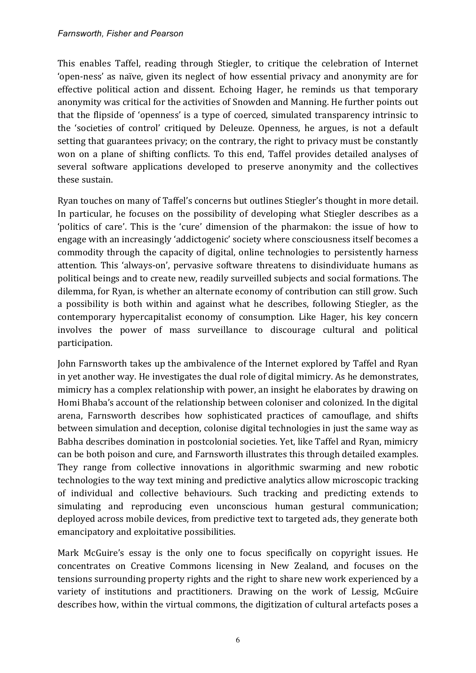This enables Taffel, reading through Stiegler, to critique the celebration of Internet 'open-ness' as naïve, given its neglect of how essential privacy and anonymity are for effective political action and dissent. Echoing Hager, he reminds us that temporary anonymity was critical for the activities of Snowden and Manning. He further points out that the flipside of 'openness' is a type of coerced, simulated transparency intrinsic to the 'societies of control' critiqued by Deleuze. Openness, he argues, is not a default setting that guarantees privacy; on the contrary, the right to privacy must be constantly won on a plane of shifting conflicts. To this end, Taffel provides detailed analyses of several software applications developed to preserve anonymity and the collectives these sustain.

Ryan touches on many of Taffel's concerns but outlines Stiegler's thought in more detail. In particular, he focuses on the possibility of developing what Stiegler describes as a 'politics of care'. This is the 'cure' dimension of the pharmakon: the issue of how to engage with an increasingly 'addictogenic' society where consciousness itself becomes a commodity through the capacity of digital, online technologies to persistently harness attention. This 'always-on', pervasive software threatens to disindividuate humans as political beings and to create new, readily surveilled subjects and social formations. The dilemma, for Ryan, is whether an alternate economy of contribution can still grow. Such a possibility is both within and against what he describes, following Stiegler, as the contemporary hypercapitalist economy of consumption. Like Hager, his key concern involves the power of mass surveillance to discourage cultural and political participation. 

John Farnsworth takes up the ambivalence of the Internet explored by Taffel and Ryan in yet another way. He investigates the dual role of digital mimicry. As he demonstrates, mimicry has a complex relationship with power, an insight he elaborates by drawing on Homi Bhaba's account of the relationship between coloniser and colonized. In the digital arena, Farnsworth describes how sophisticated practices of camouflage, and shifts between simulation and deception, colonise digital technologies in just the same way as Babha describes domination in postcolonial societies. Yet, like Taffel and Ryan, mimicry can be both poison and cure, and Farnsworth illustrates this through detailed examples. They range from collective innovations in algorithmic swarming and new robotic technologies to the way text mining and predictive analytics allow microscopic tracking of individual and collective behaviours. Such tracking and predicting extends to simulating and reproducing even unconscious human gestural communication; deployed across mobile devices, from predictive text to targeted ads, they generate both emancipatory and exploitative possibilities.

Mark McGuire's essay is the only one to focus specifically on copyright issues. He concentrates on Creative Commons licensing in New Zealand, and focuses on the tensions surrounding property rights and the right to share new work experienced by a variety of institutions and practitioners. Drawing on the work of Lessig, McGuire describes how, within the virtual commons, the digitization of cultural artefacts poses a